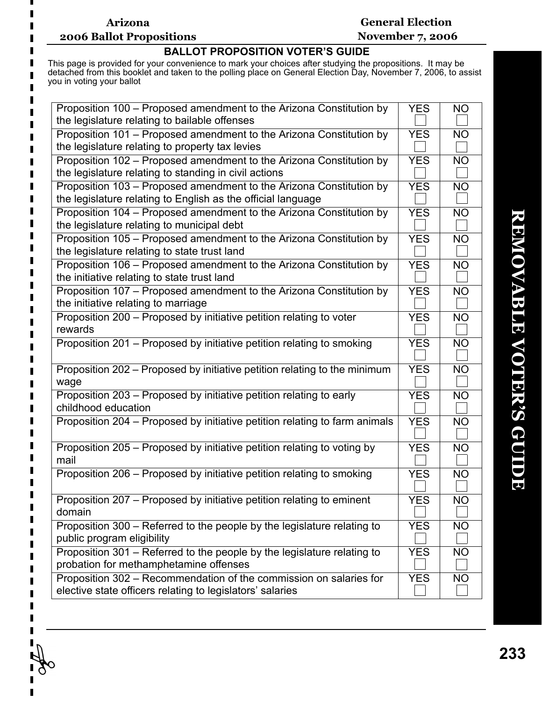## **Arizona 2006 Ballot Propositions**

П

## **General Election November 7, 2006**

## **BALLOT PROPOSITION VOTER'S GUIDE**

This page is provided for your convenience to mark your choices after studying the propositions. It may be detached from this booklet and taken to the polling place on General Election Day, November 7, 2006, to assist you in voting your ballot

| Proposition 100 - Proposed amendment to the Arizona Constitution by<br>the legislature relating to bailable offenses                | <b>YES</b> | <b>NO</b> |
|-------------------------------------------------------------------------------------------------------------------------------------|------------|-----------|
| Proposition 101 – Proposed amendment to the Arizona Constitution by<br>the legislature relating to property tax levies              | <b>YES</b> | <b>NO</b> |
| Proposition 102 - Proposed amendment to the Arizona Constitution by<br>the legislature relating to standing in civil actions        | <b>YES</b> | <b>NO</b> |
| Proposition 103 – Proposed amendment to the Arizona Constitution by<br>the legislature relating to English as the official language | <b>YES</b> | <b>NO</b> |
| Proposition 104 - Proposed amendment to the Arizona Constitution by<br>the legislature relating to municipal debt                   | <b>YES</b> | <b>NO</b> |
| Proposition 105 – Proposed amendment to the Arizona Constitution by<br>the legislature relating to state trust land                 | <b>YES</b> | <b>NO</b> |
| Proposition 106 – Proposed amendment to the Arizona Constitution by<br>the initiative relating to state trust land                  | <b>YES</b> | <b>NO</b> |
| Proposition 107 - Proposed amendment to the Arizona Constitution by<br>the initiative relating to marriage                          | <b>YES</b> | <b>NO</b> |
| Proposition 200 - Proposed by initiative petition relating to voter<br>rewards                                                      | <b>YES</b> | <b>NO</b> |
| Proposition 201 – Proposed by initiative petition relating to smoking                                                               | <b>YES</b> | <b>NO</b> |
| Proposition 202 - Proposed by initiative petition relating to the minimum<br>wage                                                   | <b>YES</b> | <b>NO</b> |
| Proposition 203 - Proposed by initiative petition relating to early<br>childhood education                                          | <b>YES</b> | <b>NO</b> |
| Proposition 204 – Proposed by initiative petition relating to farm animals                                                          | <b>YES</b> | <b>NO</b> |
| Proposition 205 - Proposed by initiative petition relating to voting by<br>mail                                                     | <b>YES</b> | <b>NO</b> |
| Proposition 206 – Proposed by initiative petition relating to smoking                                                               | <b>YES</b> | <b>NO</b> |
| Proposition 207 – Proposed by initiative petition relating to eminent<br>domain                                                     | YES        | <b>NO</b> |
| Proposition 300 - Referred to the people by the legislature relating to<br>public program eligibility                               | <b>YES</b> | <b>NO</b> |
| Proposition 301 - Referred to the people by the legislature relating to<br>probation for methamphetamine offenses                   | <b>YES</b> | <b>NO</b> |
| Proposition 302 – Recommendation of the commission on salaries for<br>elective state officers relating to legislators' salaries     | <b>YES</b> | <b>NO</b> |